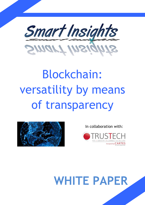

# Blockchain: versatility by means of transparency



In collaboration with:



## **WHITE PAPER**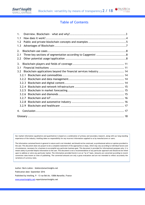

## **Table of Contents**

| 1.        |                                                                   |  |  |  |
|-----------|-------------------------------------------------------------------|--|--|--|
| 1.1       |                                                                   |  |  |  |
| 1.2       |                                                                   |  |  |  |
| 1.3       |                                                                   |  |  |  |
| 2.        |                                                                   |  |  |  |
| 2.1       |                                                                   |  |  |  |
| 2.2       |                                                                   |  |  |  |
|           |                                                                   |  |  |  |
| 3.<br>3.1 |                                                                   |  |  |  |
| 3.2       | Blockchain applications beyond the financial services industry 14 |  |  |  |
| 3.2.1     |                                                                   |  |  |  |
|           |                                                                   |  |  |  |
| 3.2.2     | 3.2.3                                                             |  |  |  |
|           | 3.2.4                                                             |  |  |  |
|           |                                                                   |  |  |  |
| 3.2.5     |                                                                   |  |  |  |
| 3.2.6     |                                                                   |  |  |  |
| 3.2.7     |                                                                   |  |  |  |
| 3.2.8     |                                                                   |  |  |  |
| 3.2.9     |                                                                   |  |  |  |
| 4.        |                                                                   |  |  |  |
|           |                                                                   |  |  |  |

Our market information (qualitative and quantitative) is based on a combination of primary and secondary research, along with our long-standing experience of the industry. Intelling takes no responsibility for any incorrect information supplied to us by manufacturers or users.

The information contained herein is general in nature and is not intended, and should not be construed, as professional advice or opinion provided to the user. This document does not purport to be a complete statement of the approaches or steps, which may vary according to individual factors and circumstances, necessary for a business to accomplish any particular business goal. This document is provided for informational purposes only; it is meant solely to provide helpful information to the user. This document is not a recommendation of any particular approach and should not be relied upon to address or solve any particular matter. The information provided herein is on an "as-is" basis. Amounts are converted according to recent conversion rates known at time of publishing. The converted amounts are only a gross evaluation and are not intended to reflect accurately the variations of currency rates.

Author: Boris Loktev - bloktev@smartinsights.net Publication date: September 2016 Published by Intelling, 9 - 13 rue Bel Air, 13006 Marseille, France [www.smartinsights.net-](http://www.smartinsights.net/)report@smartinsights.net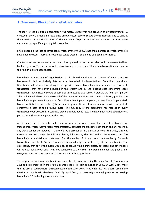## **1.Overview. Blockchain – what and why?**

The start of the blockchain technology was mostly linked with the creation of cryptocurrencies. A cryptocurrency is a medium of exchange using cryptography to secure the transactions and to control the creation of additional units of the currency. Cryptocurrencies are a subset of alternative currencies, or specifically of digital currencies.

Bitcoin became the first decentralized cryptocurrency in 2009. Since then, numerous cryptocurrencies have been created. These are frequently called altcoins, as a blend of Bitcoin alternative.

Cryptocurrencies use decentralized control as opposed to centralized electronic money/centralized banking systems. The decentralized control is related to the use of blockchain transaction database in the role of a distributed ledger.

Blockchain is a system of organization of distributed databases. It consists of data structure blocks—which hold exclusively data in initial blockchain implementations. Each block contains a timestamp and information linking it to a previous block. Blockchain is a database that stores all transactions that have ever occurred in this system and all the existing data concerning these transactions. It consists of blocks of public data related to each other. A block is the "current" part of a blockchain, which records some or all of the recent transactions, and once completed, goes into the blockchain as permanent database. Each time a block gets completed, a new block is generated. Blocks are linked to each other (like a chain) in proper linear, chronological order with every block containing a hash of the previous block. The full copy of the blockchain has records of every transaction ever executed. It can thus provide insight about facts like how much value belonged to a particular address at any point in the past.

At the same time, the cryptography process does not prevent to read the contents of blocks, but instead this cryptography process mathematically connects the blocks to each other, and any record in any block cannot be replaced — there will be discrepancy in the math between the units, this will create a need to change the following block, followed by the next and so the whole chain. The blockchain is a distributed database*, i.e.* the copies of it are stored independently for each transaction ever held. So each user can independently check its copy of the blockchain. The discrepancy that any of the blocks would try to create will be immediately detected, and other nodes will reject such a block and it will not connected to the circuit. Blockchain is open and public, and everyone can check the contents of transactions without problems.

The original definition of blockchain was published by someone using the name Satoshi Nakamoto in 2008 and implemented in the original source code of Bitcoin published in 2009. By April 2014, more than 80 uses of such ledgers had been documented. As of 2014, "Blockchain 2.0" was a term used in the distributed blockchain database field. By April 2014, at least eight funded projects to develop blockchain 2.0 technology were under way.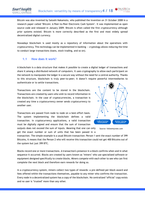Bitcoin was also invented by Satoshi Nakamoto, who published the invention on 31 October 2008 in a research paper called "Bitcoin: A Peer-to-Peer Electronic Cash System". It was implemented as open source code and released in January 2009. Bitcoin is often called the first cryptocurrency although prior systems existed. Bitcoin is more correctly described as the first and most widely spread decentralized digital currency.

Nowadays blockchain is used mostly as a repository of information about the operations with cryptocurrency. This technology can be implemented in banking — cryptology allows reducing the time to conduct large transactions (loans, stock trading, and so on).

## **1.1 How does it work?**

A blockchain is a data structure that makes it possible to create a digital ledger of transactions and share it among a distributed network of computers. It uses cryptography to allow each participant on the network to manipulate the ledger in a secure way without the need for a central authority. Thanks to this structure, blockchain is truly peer-to-peer; it doesn't require powerful intermediaries to authenticate or to settle transactions.

Transactions are the content to be stored in the blockchain. Transactions are created by users who wish to record information in the blockchain. In the case of cryptocurrencies, a transaction is created any time a cryptocurrency owner sends cryptocurrency to another user.

Transactions are passed from node to node on a best-effort basis. The system implementing the blockchain defines a valid transaction. In cryptocurrency applications, a valid transaction must be digitally signed and ensure that the sum of transaction

outputs does not exceed the sum of inputs. Meaning that one can only get the exact number or sum of units that has been passed in a

transaction. The simple example is a usual Bitcoin transaction: Person 1 sent the exact number of 399 Bitcoins, it means that the Person 2 who will receive this transaction could not get 400 Bitcoins out of the system but just 399 BTC.

Blocks record one or more transactions. A transaction's presence in a block confirms when and in what sequence it occurred. Blocks are created by users known as "miners" who use specialized software or equipment designed specifically to create blocks. Miners compete with each other to see who can first complete the next block and therefore earn rewards for doing so.

In a cryptocurrency system, miners collect two types of rewards: a pre-defined per-block award and fees offered within the transactions themselves, payable to any miner who confirms the transaction. Every node in a decentralized system has a copy of the blockchain. No centralized "official" copy exists and no user is "trusted" more than any other.





Source: followmyvote.com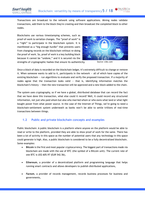Blockchains use various timestamping schemes, such as proof-of-work to serialize changes. The "proof of work" is a "right" to participate in the blockchain system. It is manifested as a "big enough hurdle" that prevents users from changing records on the blockchain without re-doing the proof of work. So, proof of work is a key building block because it cannot be "undone," and it is secured via the strengths of cryptographic hashes that ensure its authenticity.



Source: cnbc.com

Once a block of data is recorded on the blockchain ledger, it's extremely difficult to change or remove it. When someone wants to add to it, participants in the network  $-$  all of which have copies of the existing blockchain — run algorithms to evaluate and verify the proposed transaction. If a majority of nodes agree that the transaction looks valid  $-$  that is, identifying information matches the blockchain's history — then the new transaction will be approved and a new block added to the chain.

The system uses cryptography, so if we have a global, distributed database that can record the fact that we have done this transaction, what else could it record? Well, it could record any structured information, not just who paid whom but also who married whom or who owns what land or what light bought power from what power source. In the case of the Internet of Things, we're going to need a blockchain-settlement system underneath as banks won't be able to settle trillions of real-time transactions between things.

## **1.2 Public and private blockchain concepts and examples**

Public blockchain: A public blockchain is a platform where anyone on the platform would be able to read or write to the platform, provided they are able to show proof of work for the same. There has been a lot of activity in this space as the number of potential users that any technology in this space could generate is high. Also, a public blockchain is considered to be a fully decentralized blockchain. Some examples:

- **Bitcoin** is the first and most popular cryptocurrency. The biggest part of transactions made via blockchain are made with the use of BTC (the symbol of a Bitcoin unit). The current rate of one BTC is US\$ 605.97 (EUR 542.56),
- **Ethereum**, a provider of a decentralized platform and programming language that helps running smart contracts and allows developers to publish distributed applications,
- **Factom**, a provider of records management, records business processes for business and governments,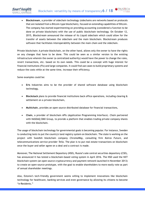

 **Blockstream**, a provider of sidechain technology (sidechains are networks based on protocols that are isolated from a Bitcoin-type blockchain), focused on extending capabilities of Bitcoin. The company has started experimenting on providing accounting (considered a function to be done on private blockchain) with the use of public blockchain technology. On October 12, 2015, *Blockstream* announced the release of its Liquid sidechain which could allow for the transfer of assets between the sidechain and the main blockchain. Blockstream produces software that facilitates interoperability between the main chain and the sidechain.

Private blockchain: A private blockchain, on the other hand, allows only the owner to have the rights on any changes that have to be done. This could be seen as a similar version to the existing infrastructure wherein the owner (a centralized authority) would have the power to change the rules, revert transactions, etc. based on its own needs. This could be a concept with huge interest for financial institutions (FIs) and large companies. It could find use cases to build proprietary systems and reduce the costs while at the same time, increase their efficiency.

Some examples could be:

- **Eris** Industries aims to be the provider of shared software database using blockchain technology,
- **Blockstack** plans to provide financial institutions back office operations, including clearing & settlement on a private blockchain,
- **Multichain**, provides an open source distributed database for financial transactions,
- **Chain**, a provider of blockchain APIs (Application Programming Interface). *Chain* partnered with NASDAQ OMX Group, to provide a platform that enables trading private company shares with the blockchain.

The usage of blockchain technology for governmental goals is becoming popular. For instance, Sweden is conducting tests to put the country's land registry system on blockchain. The state is working on the project with Swedish blockchain company *ChromaWay*, consulting firm *Kairos Future*, and telecommunications service provider *Telia*. The plan is to put real estate transactions on blockchain once the buyer and seller agree on a deal and a contract is made.

Moreover, The National Settlement Depository (NSD), Russia's sole central securities depository (CSD), has announced it has tested a blockchain-based voting system in April 2016. The NSD used the NXT blockchain system (an open source cryptocurrency and payment network launched in November 2013) to create an open-source prototype, with the goal to enable shareholders to more easily vote as part of annual shareholder meetings.

Also, Estonia's tech-friendly government seems willing to implement innovations like blockchain technology for healthcare, banking services and even governance by allowing its citizens to become "e-Residents."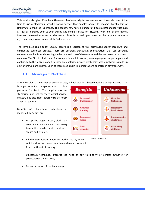This service also gives Estonian citizens and businesses digital authentication. It was also one of the first to use a blockchain-based e-voting service that enables people to become shareholders of NASDAQ's Tallinn Stock Exchange. The country now hosts a number of Bitcoin ATMs and startups such as *Paxful*, a global peer-to-peer buying and selling service for Bitcoins. With one of the highest internet penetration rates in the world, Estonia is well positioned to be a place where a cryptocurrency users can certainly feel welcome.

The term blockchain today usually describes a version of this distributed ledger structure and distributed consensus process. There are different blockchain configurations that use different consensus mechanisms, depending on the type and size of the network and the use case of a particular company. The Bitcoin blockchain, for example, is a public system, meaning anyone can participate and contribute to the ledger. Many firms also are exploring private blockchains whose network is made up only of known participants. Each of these blockchain implementations operates in different ways.

## **1.3 Advantages of Blockchain**

As of now, blockchain is seen as an immutable, unhackable distributed database of digital assets. This

is a platform for transparency and it is a platform for trust. The implications are staggering, not just for the financial-services industry but also right across virtually every aspect of society.

Benefits of blockchain technology as identified by *Forbes* are:

• As a public ledger system, blockchain records and validate each and every transaction made, which makes it secure and reliable,



Source: pwc.com

- All the transactions made are authorized by miners, which makes the transactions immutable and prevent it from the threat of hacking,
- Blockchain technology discards the need of any third-party or central authority for peer-to-peer transactions,
- Decentralization of the technology.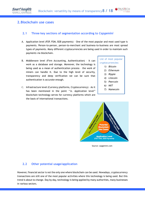## **2.Blockchain use cases**

## **2.1 Three key sections of segmentation according to** *Capgemini*

- A. Application level (P2P, P2M, B2B payments) One of the most popular and most used type is payments. Person-to-person, person-to-merchant and business-to-business are most spread types of payments. Many different cryptocurrencies are being used in order to maintain such payments via blockchain.
- B. Middleware level (Firm Accounting, Authentication) It can work as a database and storage. Moreover, the technology is being used as a mean of authentication process – the work of miners can handle it. Due to the high level of security, transparency and deep verification we can be sure that authentication is accurate enough.
- C. Infrastracture level (Currency platforms, Cryptocurrency) As it has been mentioned in the point ''A. Application level'' blockchain technology serves for currency platforms which are the basis of international transactions.

## List of most popular cryptocurrencies:

- *1) Bitcoin*
- *2) Ethereum*
- *3) Ripple*
- *4) Litecoin*
- *5) Peercoin*
- *6) NXT*
- *7) Namecoin*



Source: capgemini.com

#### **2.2 Other potential usage/application**

However, financial sector is not the only one where blockchain can be used. Nowadays, cryptocurrency transactions are still one of the most popular activities where this technology is being used. But this trend is about to change. Day by day, technology is being applied by many authorities, many businesses in various sectors.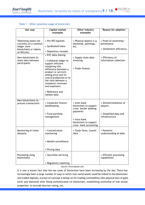#### **Table 1 - Other potential usage of blockchain**

| Use case                                                                                              | Capital market<br>examples                                                                                                                                                                                                                                                               | Other industry<br>examples                                                                                                                    | Reason for adoption                                                          |
|-------------------------------------------------------------------------------------------------------|------------------------------------------------------------------------------------------------------------------------------------------------------------------------------------------------------------------------------------------------------------------------------------------|-----------------------------------------------------------------------------------------------------------------------------------------------|------------------------------------------------------------------------------|
| Tokenizing assets not<br>currently on a common<br>ledger (new<br>blockchains or tokens<br>on Bitcoin) | • Pre-IPO equities<br>• Syndicated loans<br>• Depository receipts                                                                                                                                                                                                                        | • Physical objects e.g.<br>diamonds, paintings,<br>etc.                                                                                       | • Proof of ownership/<br>provenance<br>• Settlement efficiency               |
| New blockchains to<br>share data between<br>participants                                              | • KYC data sharing<br>• Collateral ledger to<br>support efficient<br>margining (the<br>difference between a<br>product or service's<br>selling price and its<br>cost of production or to<br>the ratio between a<br>company's revenues<br>and expenses)<br>• Reference and<br>market data | • Supply chain data<br>invoicing<br>• Trade finance                                                                                           | • Efficiency of<br>information collection                                    |
| New blockchains to<br>process transactions                                                            | • Corporate finance<br>bookkeeping<br>• Fund portfolio<br>management                                                                                                                                                                                                                     | • Inter-bank<br>blockchain to support<br>cross- border banking<br>payments<br>• Intra-bank<br>blockchain to support<br>cross- bank accounting | • Disintermediation of<br>players<br>• Simplified data and<br>infrastructure |
| Monitoring of richer<br>datasets                                                                      | • Concentration<br>monitoring<br>• Market surveillance<br>• Pricing data                                                                                                                                                                                                                 | • Trade flows, transit<br>data                                                                                                                | • Powerful<br>understanding of data                                          |
| Processing using<br>blockchains                                                                       | • Securities servicing<br>• Regulatory reporting                                                                                                                                                                                                                                         |                                                                                                                                               | • Efficient processing<br>capabilities                                       |

*Source: oliverwyman.com*

It is now a known fact that the use cases of blockchain have been increasing by the day. There has increasingly been a large number of ways in which real-world assets could be linked to the blockchain and traded digitally. A proof-of-concept is being run for trading commodities (like physical bars of gold, silver and diamond) after being authenticated via blockchain, establishing ownership of real-estate properties, to provide election voting, etc.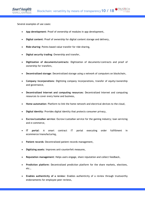Several examples of use cases:

- **App development**: Proof of ownership of modules in app development,
- **Digital content**: Proof of ownership for digital content storage and delivery,
- **Ride-sharing**: Points-based value transfer for ride-sharing,
- **Digital security trading**: Ownership and transfer,
- **Digitization of documents/contracts**: Digitization of documents/contracts and proof of ownership for transfers,
- **Decentralized storage**: Decentralized storage using a network of computers on blockchain,
- **Company incorporations**: Digitizing company incorporations, transfer of equity/ownership and governance,
- **Decentralized Internet and computing resources**: Decentralized Internet and computing resources to cover every home and business,
- **Home automation**: Platform to link the home network and electrical devices to the cloud,
- **Digital identity**: Provides digital identity that protects consumer privacy,
- **Escrow/custodian service**: Escrow/custodian service for the gaming industry; loan servicing and e-commerce,
- **IT portal**: A smart contract IT portal executing order fulfillment in ecommerce/manufacturing,
- **Patient records**: Decentralized patient records management,
- **Digitizing assets**: Improves anti-counterfeit measures,
- **Reputation management**: Helps users engage, share reputation and collect feedback,
- **Prediction platform**: Decentralized prediction platform for the share markets, elections, etc.,
- **Enables authenticity of a review**: Enables authenticity of a review through trustworthy endorsements for employee peer reviews,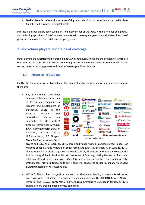**Marketplace for sales and purchases of digital assets**: Proof of ownership and a marketplace for sales and purchases of digital assets.

Interest in blockchain has been coming in from every corner of the world with major ones being banks and technology providers. Banks' interest in blockchain is seeing a huge uptick with the exploration of potential use cases for the distributed ledger system.

## **3.Blockchain players and fields of coverage**

Major players are investigating blockchain innovative technology. These are the companies, which are representing the most perspective and promising projects in numerous sectors of the business. In this section most developing players and fields of coverage will be discussed.

## **3.1 Financial Institutions**

Firstly, the financial usage of blockchain. The financial sector includes many large players. Some of them are:

 **R3,** a blockchain technology company. It leads a consortium of 45 financial companies in research and development of blockchain usage in the financial system. The consortium started on September 15, 2015 with 9 financial companies: *Barclays, BBVA, Commonwealth Bank of Australia, Credit Suisse, Goldman Sachs, J.P. Morgan, Royal Bank of Scotland, State* 



*Street* and *UBS*. As of April 25, 2016, three additional financial companies had joined: *SBI Holdings* of Japan, *Hana Financial* of South Korea, and *Bank Itau* of Brazil. As of June 23, 2016, *Toyota Financial Services* has joined. On March 3, 2016, R3 announced that it had completed a trial involving 40 banks held in the last two weeks of February, testing the use of blockchain solutions offered by *Eris Industries*, *IBM, Intel* and *Chain* to facilitate the trading of debt instruments. This was a follow-on to an 11-bank trial conducted earlier in January which used *Ethereum* hosted on *Microsoft Azure*.

 **NASDAQ**: The stock exchange firm revealed that they were planning to use blockchain as an enterprise-wide technology to enhance their capabilities on the NASDAQ Private Market Platform. The NASDAQ Private Market Platform is a new initiative launched in January 2014, to enable pre-IPO trading among private companies.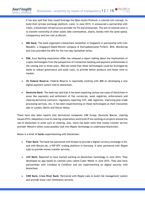It has also said that they would leverage the Open Assets Protocol, a colored coin concept, to build their private exchange platform. Later, in June 2015, it announced a partnership with *Chain*, a blockchain infrastructure provider for FIs and enterprises. The aim of colored coins is to transfer ownership of other assets (like commodities, shares, bonds) with the same speed, transparency and low cost as Bitcoin.

- **DBS Bank**: The bank organized a blockchain hackathon in Singapore in partnership with Coin Republic, a Singapore-based Bitcoin company & Startupbootcamp FinTech. *BitX, Blockstrap* and *Colu* provided the APIs for the two-day hackathon series.
- **EBA**: Euro Banking Association (EBA) has released a report talking about the implications of crypto-technologies from the perspective of transaction banking and payment professionals in the coming one to three years. EBA has noted that these technologies could be leveraged by banks to reduce governance and audit costs, to provide better products and faster time to market.
- **US Federal Reserve**: Federal Reserve is reportedly working with *IBM* on developing a new digital payment system tied to blockchain.
- **Deutsche Bank**: The bank has said that it has been exploring various use cases of blockchain in areas like payments and settlement of fiat currencies, asset registries, enforcement and clearing derivative contracts, regulatory reporting, KYC, AML registries, improving post-trade processing services, etc. It has been experimenting on these technologies at their innovation labs in London, Berlin and Silicon Valley.

There have also been reports that derivatives companies *CME Group*, *Deutsche Boerse*, clearing houses DTCC (depository trust & clearing corporation) and EuroCCP are working on projects around the use of blockchain in areas such as clearing. Also, there has been news that money transfer service provider *Western Union* could possibly look into *Ripple* technology to understand blockchain.

Below is a brief of **banks** experimenting with blockchain:

- **Fidor Bank**: The bank has partnered with *Kraken* to provide a digital currency exchange in EU, and with Bitcoin.de, a P2P BTC trading platform in Germany. It later partnered with *Ripple Labs* to provide money transfer services.
- **LHV Bank:** Reported to have started working on blockchain technology in June 2014. They developed an app based on colored coins called Cuber Wallet in June 2015. They also have partnerships with *Coinbase* & *Coinfloor* and are experimenting on digital security with blockchain.
- **CBW Bank, Cross River Bank:** Partnered with Ripple Labs to build risk management system and provide lower cost remittance services.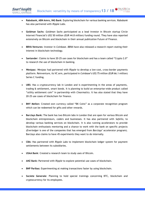- - **Rabobank, ABN Amro, ING Bank**: Exploring blockchain for various banking services. *Rabobank* has also partnered with *Ripple Labs*.
	- **Goldman Sachs**: *Goldman Sachs* participated as a lead investor in Bitcoin startup Circle Internet Financial's US\$ 50 million (EUR 44.8 million) funding round. They have also reported extensively on Bitcoin and blockchain in their annual publication Future of Finance.
	- **BBVA Ventures**: Investor in *Coinbase*. *BBVA* have also released a research report stating their interest in blockchain technology.
	- **Santander**: Claims to have 20-25 use cases for blockchain and has a team called "Crypto 2.0" to research the use of blockchain in banking.
	- **Westpac:** *Westpac* had partnered with *Ripple* to develop a low-cost, cross-border payments platform. Reinventure, its VC arm, participated in *Coinbase*'s US\$ 75 million (EUR 66.1 million) Series C funding.
	- **UBS:** Has a cryptocurrency lab in London and is experimenting in the areas of payments, trading & settlement, smart bonds. It is planning to build an enterprise-wide product called "utility settlement coin" in partnership with *Clearmatics*. It has also stated that they have 20-25 use cases of blockchain for finance.
	- **BNY Mellon:** Created own currency called "BK Coins" as a corporate recognition program which can be redeemed for gifts and other rewards.
	- **Barclays Bank:** The bank has two Bitcoin labs in London that are open for various Bitcoin and blockchain entrepreneurs, coders and businesses. It has also partnered with *Safello*, to develop various banking services on blockchain. It is also running accelerators to provide blockchain enthusiasts mentoring and a chance to work with the bank on specific projects (*Everledger* is one of the companies that has emerged from *Barclays*' accelerator program). Barclays also claims to have 45 experiments they want to do internally.
	- **CBA:** Has partnered with *Ripple Labs* to implement blockchain ledger system for payment settlements between its subsidiaries.
	- **USAA Bank**: Created a research team to study uses of Bitcoin.
	- **ANZ Bank:** Partnered with *Ripple* to explore potential use cases of blockchain.
	- **BNP Paribas:** Experimenting at making transactions faster by using blockchain.
	- **Societe Generale**: Planning to hold special trainings concerning BTC, blockchain and cryptocurrency for its employees.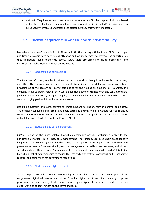**Citibank**: They have set up three separate systems within Citi that deploy blockchain-based distributed technologies. They developed an equivalent to Bitcoin called "Citicoin," which is being used internally to understand the digital currency trading system better.

## **3.2 Blockchain applications beyond the financial services industry**

Blockchain fever hasn't been limited to financial institutions. Along with banks and FinTech startups, non-financial players have been paying attention and looking for ways to leverage the opportunities that distributed ledger technology opens. Below there are some interesting examples of the non-financial applications of blockchain technology.

## 3.2.1 Blockchain and commodities

*The Real Asset Company* enables individuals around the world to buy gold and silver bullion securely and efficiently. The company's investor-friendly platform sits on top of global vaulting infrastructure, providing an online account for buying gold and silver and holding precious metals. *Goldbloc*, the company's gold-backed cryptocurrency adds an additional layer of transparency and control to users' gold investment. Backed by one gram of gold, the company believes its cryptocurrency to be the first step to bringing gold back into the monetary system.

*Uphold* is a platform for moving, converting, transacting and holding any form of money or commodity. The company connects banks, credit and debit cards and Bitcoin to digital wallets for free financial services and transactions. Businesses and consumers can fund their Uphold accounts via bank transfer or by linking a credit/debit card in addition to Bitcoin.

#### 3.2.2 Blockchain and data management

*Factom* is one of the most notable blockchain companies applying distributed ledger to the non-financial market – in this case, data management. The company uses blockchain-based identity ledgers in database management and data analytics to support various applications. Businesses and governments can use *Factom* to simplify records management, record business processes, and address security and compliance issues. *Factom* maintains a permanent, time-stamped record of data in the blockchain that allows companies to reduce the cost and complexity of conducting audits, managing records, and complying with government regulations.

## 3.2.3 Blockchain and digital content

*Ascribe* helps artists and creators to attribute digital art via blockchain. *Ascribe*'s marketplace allows to generate digital editions with a unique ID and a digital certificate of authenticity to prove provenance and authenticity. It also allows accepting consignments from artists and transferring digital works to collectors with all the terms and legals.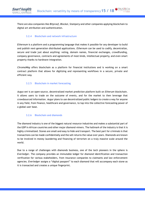There are also companies like *Bitproof, Blockai, Stampery* and other companies applying blockchain to digital art attribution and authentication.

#### 3.2.4 Blockchain and network infrastructure

*Ethereum* is a platform and a programming language that makes it possible for any developer to build and publish next-generation distributed applications. *Ethereum* can be used to codify, decentralize, secure and trade just about anything: voting, domain names, financial exchanges, crowdfunding, company governance, contracts and agreements of most kinds, intellectual property, and even smart property thanks to hardware integration.

*ChromaWay* offers blockchain as a platform for financial institutions and is working on a smart contract platform that allows for digitizing and representing workflows in a secure, private and efficient way.

## 3.2.5 Blockchain in market forecasting

*Augur.net* is an open-source, decentralized market prediction platform built on *Etherum* blockchain. It allows users to trade on the outcome of events, and for the market to then leverage that crowdsourced information. *Augur* plans to use decentralized public ledgers to create a way for anyone in any field, from finance, healthcare and governance, to tap into the collective forecasting power of a global user base.

#### 3.2.6 Blockchain and diamonds

The diamond industry is one of the biggest natural resource industries and makes a substantial part of the GDP in African countries and other major diamond-miners. The hallmark of the industry is that it is highly criminalized. Stones are small and easy to hide and transport. The best part for criminals is that transactions can be made confidentially and the sell returns the value over years. Diamonds are known to be involved in money laundering and financing of terrorism on a truly massive scale around the world.

Due to a range of challenges with diamonds business, one of the tech pioneers in the sphere is *Everledger*. The company provides an immutable ledger for diamond identification and transaction verification for various stakeholders, from insurance companies to claimants and law enforcement agencies. *Everledger* assigns a "digital passport" to each diamond that will accompany each stone as it is transacted and creates a unique fingerprint.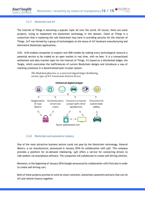#### 3.2.7 Blockchain and IoT

The Internet of Things is becoming a popular topic all over the world. Of course, there are some projects, trying to implement the blockchain technology in this domain. *Chain of Things* is a consortium that is exploring the role blockchain may have in providing security for the Internet of Things. *CoT* was formed by a group of technologists at the nexus of IoT hardware manufacturing and alternative blockchain applications.

*IoTA - IoTA* enables companies to explore new B2B models by making every technological resource a potential service to be traded on an open market in real time, with no fees. It is a transactional settlement and data transfer layer for the Internet of Things. It's based on a distributed ledger, the Tangle, which overcomes the inefficiencies of current Blockchain designs and introduces a way of reaching consensus in a decentralized peer-to-peer system.

> The blockchain functions as a universal digital ledger facilitating various types of IoT transactions between devices



#### 3.2.8 Blockchain and automotive industry

One of the most attractive business sectors could not pass by the blockchain technology. *General Motors*, a car manufacturer, announced in January 2016 its collaboration with *Lyft*. This company provides a platform for on-demand ridesharing. *Lyft* offers a service for connecting drivers to ride-seekers via smartphone software. The companies will collaborate to create self-driving vehicles.

Moreover, in the beginning of January 2016 Google announced its collaboration with Ford also in order to create self-driving cars.

Both of these projects promise to work on smart contracts, blockchain-powered contracts that can tie IoT and vehicle finance together.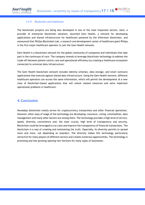#### 3.2.9 Blockchain and healthcare

The blockchain projects are being also developed in one of the most important sectors. *Gem*, a provider of enterprise blockchain solutions, launched Gem Health, a network for developing applications and shared infrastructure for healthcare powered by the *Ethereum* blockchain, and announced that *Philips Blockchain Lab*, a research and development center of healthcare giant Philips, is the first major healthcare operator to join the Gem Health network.

Gem Health is a blockchain network for the global community of companies and individuals that take part in the continuum of care. The company intends to leverage blockchain technology to address the trade-off between patient centric care and operational efficiency by creating a healthcare ecosystem connected to universal data infrastructure.

The Gem Health blockchain network includes identity schemes, data storage, and smart contracts applications that execute against shared data infrastructure. Using the Gem Health network, different healthcare operators can access the same information, which will permit the development of a new class of blockchain-based applications that will unlock wasted resources and solve important operational problems in healthcare.

## **4.Conclusion**

Nowadays blockchain mostly serves for cryptocurrency transactions and other financial operations. However, other ways of usage of the technology are developing: insurance, voting, commodities, data management and many other sectors are among them. The technology provides a high level of service, speed, diversity, convenience and, the most crucial, high level of transparency and security. Blockchain could be leveraged to cut costs and improve the transparency of financial transactions. The blockchain is a way of creating and maintaining the truth. Especially, its diversity permits to spread more and more, not depending on boarders. The diversity makes this technology particularly attractive for many players of different sectors and creates numerous opportunities. The technology is promising and fast growing opening new horizons for many types of businesses.